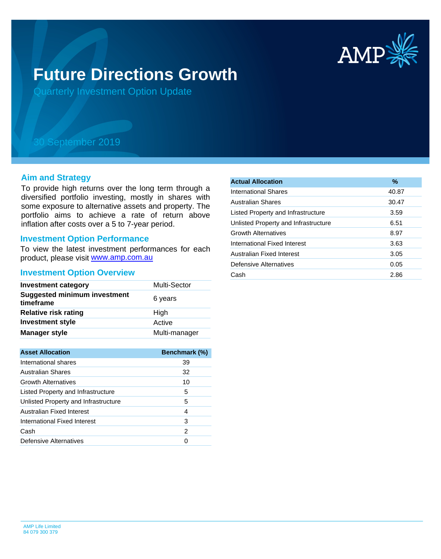

# **Future Directions Growth**

Quarterly Investment Option Update

## 30 September 2019

#### **Aim and Strategy**

To provide high returns over the long term through a diversified portfolio investing, mostly in shares with some exposure to alternative assets and property. The portfolio aims to achieve a rate of return above inflation after costs over a 5 to 7-year period.

#### **Investment Option Performance**

product, please visit [www.amp.com.au](https://www.amp.com.au) To view the latest investment performances for each

#### **Investment Option Overview**

| <b>Investment category</b>                       | Multi-Sector  |
|--------------------------------------------------|---------------|
| <b>Suggested minimum investment</b><br>timeframe | 6 years       |
| <b>Relative risk rating</b>                      | High          |
| <b>Investment style</b>                          | Active        |
| <b>Manager style</b>                             | Multi-manager |

| <b>Asset Allocation</b>              | <b>Benchmark (%)</b> |
|--------------------------------------|----------------------|
| International shares                 | 39                   |
| Australian Shares                    | 32                   |
| <b>Growth Alternatives</b>           | 10                   |
| Listed Property and Infrastructure   | 5                    |
| Unlisted Property and Infrastructure | 5                    |
| Australian Fixed Interest            | 4                    |
| International Fixed Interest         | 3                    |
| Cash                                 | 2                    |
| Defensive Alternatives               |                      |

| <b>Actual Allocation</b>             | %     |
|--------------------------------------|-------|
| <b>International Shares</b>          | 40.87 |
| Australian Shares                    | 30.47 |
| Listed Property and Infrastructure   | 3.59  |
| Unlisted Property and Infrastructure | 6.51  |
| <b>Growth Alternatives</b>           | 8.97  |
| International Fixed Interest         | 3.63  |
| Australian Fixed Interest            | 3.05  |
| Defensive Alternatives               | 0.05  |
| Cash                                 | 2.86  |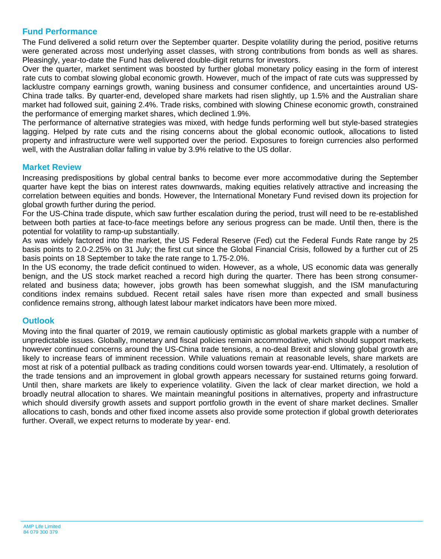### **Fund Performance**

The Fund delivered a solid return over the September quarter. Despite volatility during the period, positive returns were generated across most underlying asset classes, with strong contributions from bonds as well as shares. Pleasingly, year-to-date the Fund has delivered double-digit returns for investors.

Over the quarter, market sentiment was boosted by further global monetary policy easing in the form of interest rate cuts to combat slowing global economic growth. However, much of the impact of rate cuts was suppressed by lacklustre company earnings growth, waning business and consumer confidence, and uncertainties around US-China trade talks. By quarter-end, developed share markets had risen slightly, up 1.5% and the Australian share market had followed suit, gaining 2.4%. Trade risks, combined with slowing Chinese economic growth, constrained the performance of emerging market shares, which declined 1.9%.

The performance of alternative strategies was mixed, with hedge funds performing well but style-based strategies lagging. Helped by rate cuts and the rising concerns about the global economic outlook, allocations to listed property and infrastructure were well supported over the period. Exposures to foreign currencies also performed well, with the Australian dollar falling in value by 3.9% relative to the US dollar.

#### **Market Review**

Increasing predispositions by global central banks to become ever more accommodative during the September quarter have kept the bias on interest rates downwards, making equities relatively attractive and increasing the correlation between equities and bonds. However, the International Monetary Fund revised down its projection for global growth further during the period.

For the US-China trade dispute, which saw further escalation during the period, trust will need to be re-established between both parties at face-to-face meetings before any serious progress can be made. Until then, there is the potential for volatility to ramp-up substantially.

As was widely factored into the market, the US Federal Reserve (Fed) cut the Federal Funds Rate range by 25 basis points to 2.0-2.25% on 31 July; the first cut since the Global Financial Crisis, followed by a further cut of 25 basis points on 18 September to take the rate range to 1.75-2.0%.

In the US economy, the trade deficit continued to widen. However, as a whole, US economic data was generally benign, and the US stock market reached a record high during the quarter. There has been strong consumerrelated and business data; however, jobs growth has been somewhat sluggish, and the ISM manufacturing conditions index remains subdued. Recent retail sales have risen more than expected and small business confidence remains strong, although latest labour market indicators have been more mixed.

#### **Outlook**

Moving into the final quarter of 2019, we remain cautiously optimistic as global markets grapple with a number of unpredictable issues. Globally, monetary and fiscal policies remain accommodative, which should support markets, however continued concerns around the US-China trade tensions, a no-deal Brexit and slowing global growth are likely to increase fears of imminent recession. While valuations remain at reasonable levels, share markets are most at risk of a potential pullback as trading conditions could worsen towards year-end. Ultimately, a resolution of the trade tensions and an improvement in global growth appears necessary for sustained returns going forward. Until then, share markets are likely to experience volatility. Given the lack of clear market direction, we hold a broadly neutral allocation to shares. We maintain meaningful positions in alternatives, property and infrastructure which should diversify growth assets and support portfolio growth in the event of share market declines. Smaller allocations to cash, bonds and other fixed income assets also provide some protection if global growth deteriorates further. Overall, we expect returns to moderate by year- end.